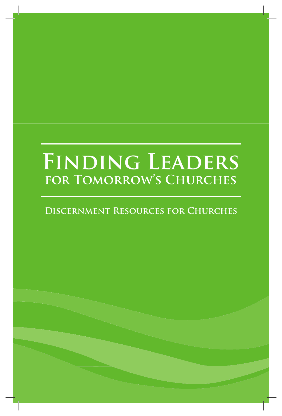# **Finding Leaders for Tomorrow's Churches**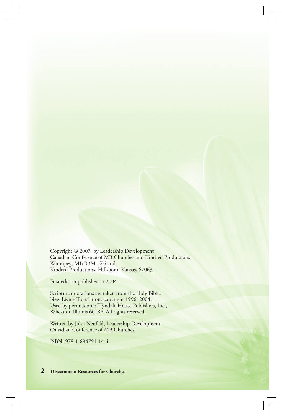Copyright © 2007 by Leadership Development Canadian Conference of MB Churches and Kindred Productions Winnipeg, MB R3M 3Z6 and Kindred Productions, Hillsboro, Kansas, 67063.

First edition published in 2004.

Scripture quotations are taken from the Holy Bible, New Living Translation, copyright 1996, 2004. Used by permission of Tyndale House Publishers, Inc., Wheaton, Illinois 60189. All rights reserved.

Written by John Neufeld, Leadership Development, Canadian Conference of MB Churches.

ISBN: 978-1-894791-14-4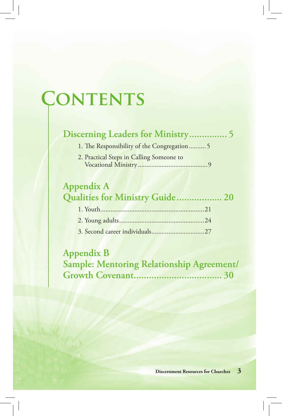# **Contents**

# **Discerning Leaders for Ministry ............... 5**

1. The Responsibility of the Congregation .......... 5

2. Practical Steps in Calling Someone to Vocational Ministry .........................................9

# **Appendix A Qualities for Ministry Guide .................. 20**

# **Appendix B Sample: Mentoring Relationship Agreement/ Growth Covenant ................................... 30**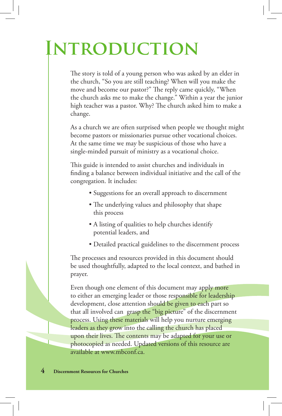# **Introduction**

The story is told of a young person who was asked by an elder in the church, "So you are still teaching? When will you make the move and become our pastor?" The reply came quickly, "When the church asks me to make the change." Within a year the junior high teacher was a pastor. Why? The church asked him to make a change.

As a church we are often surprised when people we thought might become pastors or missionaries pursue other vocational choices. At the same time we may be suspicious of those who have a single-minded pursuit of ministry as a vocational choice.

This guide is intended to assist churches and individuals in finding a balance between individual initiative and the call of the congregation. It includes:

- Suggestions for an overall approach to discernment
- The underlying values and philosophy that shape this process
- A listing of qualities to help churches identify potential leaders, and
- Detailed practical guidelines to the discernment process

The processes and resources provided in this document should be used thoughtfully, adapted to the local context, and bathed in prayer.

Even though one element of this document may apply more to either an emerging leader or those responsible for leadership development, close attention should be given to each part so that all involved can grasp the "big picture" of the discernment process. Using these materials will help you nurture emerging leaders as they grow into the calling the church has placed upon their lives. The contents may be adapted for your use or photocopied as needed. Updated versions of this resource are available at www.mbconf.ca.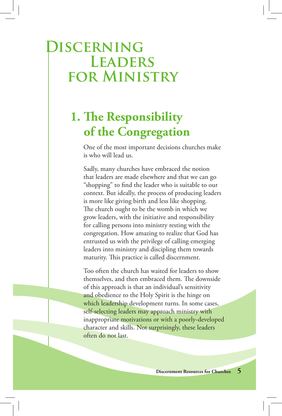# **Discerning Leaders for Ministry**

# **1. The Responsibility of the Congregation**

One of the most important decisions churches make is who will lead us.

Sadly, many churches have embraced the notion that leaders are made elsewhere and that we can go "shopping" to find the leader who is suitable to our context. But ideally, the process of producing leaders is more like giving birth and less like shopping. The church ought to be the womb in which we grow leaders, with the initiative and responsibility for calling persons into ministry resting with the congregation. How amazing to realize that God has entrusted us with the privilege of calling emerging leaders into ministry and discipling them towards maturity. This practice is called discernment.

Too often the church has waited for leaders to show themselves, and then embraced them. The downside of this approach is that an individual's sensitivity and obedience to the Holy Spirit is the hinge on which leadership development turns. In some cases, self-selecting leaders may approach ministry with inappropriate motivations or with a poorly-developed character and skills. Not surprisingly, these leaders often do not last.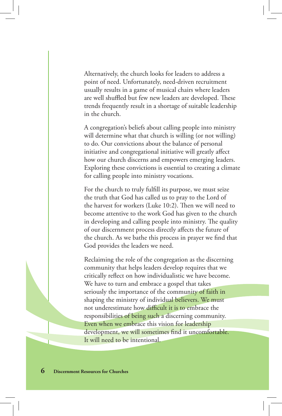Alternatively, the church looks for leaders to address a point of need. Unfortunately, need-driven recruitment usually results in a game of musical chairs where leaders are well shuffled but few new leaders are developed. These trends frequently result in a shortage of suitable leadership in the church.

A congregation's beliefs about calling people into ministry will determine what that church is willing (or not willing) to do. Our convictions about the balance of personal initiative and congregational initiative will greatly affect how our church discerns and empowers emerging leaders. Exploring these convictions is essential to creating a climate for calling people into ministry vocations.

For the church to truly fulfill its purpose, we must seize the truth that God has called us to pray to the Lord of the harvest for workers (Luke 10:2). Then we will need to become attentive to the work God has given to the church in developing and calling people into ministry. The quality of our discernment process directly affects the future of the church. As we bathe this process in prayer we find that God provides the leaders we need.

Reclaiming the role of the congregation as the discerning community that helps leaders develop requires that we critically reflect on how individualistic we have become. We have to turn and embrace a gospel that takes seriously the importance of the community of faith in shaping the ministry of individual believers. We must not underestimate how difficult it is to embrace the responsibilities of being such a discerning community. Even when we embrace this vision for leadership development, we will sometimes find it uncomfortable. It will need to be intentional.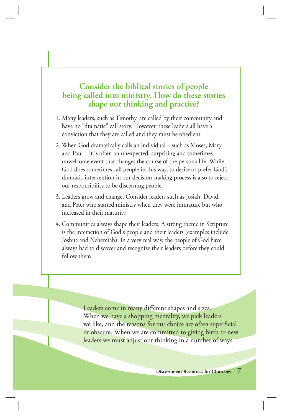### **Consider the biblical stories of people being called into ministry. How do these stories shape our thinking and practice?**

- 1. Many leaders, such as Timothy, are called by their community and have no "dramatic" call story. However, these leaders all have a conviction that they are called and they must be obedient.
- 2. When God dramatically calls an individual such as Moses, Mary, and Paul – it is often an unexpected, surprising and sometimes unwelcome event that changes the course of the person's life. While God does sometimes call people in this way, to desire or prefer God's dramatic intervention in our decision-making process is also to reject our responsibility to be discerning people.
- 3. Leaders grow and change. Consider leaders such as Josiah, David, and Peter who started ministry when they were immature but who increased in their maturity.
- 4. Communities always shape their leaders. A strong theme in Scripture is the interaction of God's people and their leaders (examples include Joshua and Nehemiah). In a very real way, the people of God have always had to discover and recognize their leaders before they could follow them.

Leaders come in many different shapes and sizes. When we have a shopping mentality, we pick leaders we like, and the reasons for our choice are often superficial or obscure. When we are committed to giving birth to new leaders we must adjust our thinking in a number of ways: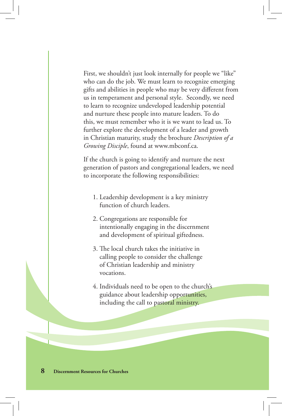First, we shouldn't just look internally for people we "like" who can do the job. We must learn to recognize emerging gifts and abilities in people who may be very different from us in temperament and personal style. Secondly, we need to learn to recognize undeveloped leadership potential and nurture these people into mature leaders. To do this, we must remember who it is we want to lead us. To further explore the development of a leader and growth in Christian maturity, study the brochure *Description of a Growing Disciple*, found at www.mbconf.ca.

If the church is going to identify and nurture the next generation of pastors and congregational leaders, we need to incorporate the following responsibilities:

- 1. Leadership development is a key ministry function of church leaders.
- 2. Congregations are responsible for intentionally engaging in the discernment and development of spiritual giftedness.
- 3. The local church takes the initiative in calling people to consider the challenge of Christian leadership and ministry vocations.
- 4. Individuals need to be open to the church's guidance about leadership opportunities, including the call to pastoral ministry.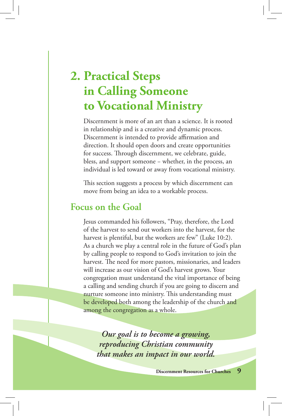# **2. Practical Steps in Calling Someone to Vocational Ministry**

Discernment is more of an art than a science. It is rooted in relationship and is a creative and dynamic process. Discernment is intended to provide affirmation and direction. It should open doors and create opportunities for success. Through discernment, we celebrate, guide, bless, and support someone − whether, in the process, an individual is led toward or away from vocational ministry.

This section suggests a process by which discernment can move from being an idea to a workable process.

## **Focus on the Goal**

Jesus commanded his followers, "Pray, therefore, the Lord of the harvest to send out workers into the harvest, for the harvest is plentiful, but the workers are few" (Luke 10:2). As a church we play a central role in the future of God's plan by calling people to respond to God's invitation to join the harvest. The need for more pastors, missionaries, and leaders will increase as our vision of God's harvest grows. Your congregation must understand the vital importance of being a calling and sending church if you are going to discern and nurture someone into ministry. This understanding must be developed both among the leadership of the church and among the congregation as a whole.

*Our goal is to become a growing, reproducing Christian community that makes an impact in our world.*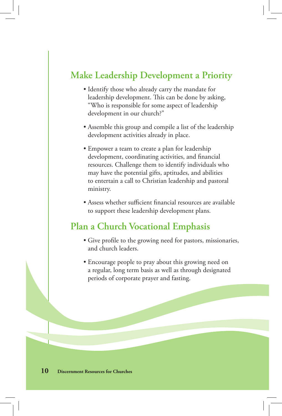## **Make Leadership Development a Priority**

- Identify those who already carry the mandate for leadership development. This can be done by asking, "Who is responsible for some aspect of leadership development in our church?"
- Assemble this group and compile a list of the leadership development activities already in place.
- Empower a team to create a plan for leadership development, coordinating activities, and financial resources. Challenge them to identify individuals who may have the potential gifts, aptitudes, and abilities to entertain a call to Christian leadership and pastoral ministry.
- Assess whether sufficient financial resources are available to support these leadership development plans.

## **Plan a Church Vocational Emphasis**

- Give profile to the growing need for pastors, missionaries, and church leaders.
- Encourage people to pray about this growing need on a regular, long term basis as well as through designated periods of corporate prayer and fasting.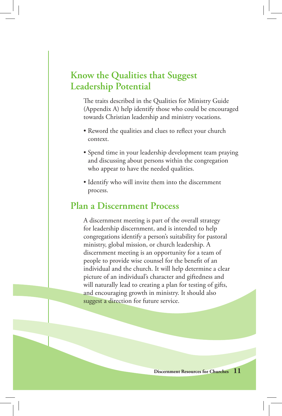# **Know the Qualities that Suggest Leadership Potential**

The traits described in the Qualities for Ministry Guide (Appendix A) help identify those who could be encouraged towards Christian leadership and ministry vocations.

- Reword the qualities and clues to reflect your church context.
- Spend time in your leadership development team praying and discussing about persons within the congregation who appear to have the needed qualities.
- Identify who will invite them into the discernment process.

### **Plan a Discernment Process**

A discernment meeting is part of the overall strategy for leadership discernment, and is intended to help congregations identify a person's suitability for pastoral ministry, global mission, or church leadership. A discernment meeting is an opportunity for a team of people to provide wise counsel for the benefit of an individual and the church. It will help determine a clear picture of an individual's character and giftedness and will naturally lead to creating a plan for testing of gifts, and encouraging growth in ministry. It should also suggest a direction for future service.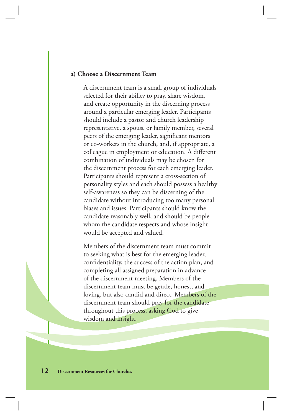#### **a) Choose a Discernment Team**

A discernment team is a small group of individuals selected for their ability to pray, share wisdom, and create opportunity in the discerning process around a particular emerging leader. Participants should include a pastor and church leadership representative, a spouse or family member, several peers of the emerging leader, significant mentors or co-workers in the church, and, if appropriate, a colleague in employment or education. A different combination of individuals may be chosen for the discernment process for each emerging leader. Participants should represent a cross-section of personality styles and each should possess a healthy self-awareness so they can be discerning of the candidate without introducing too many personal biases and issues. Participants should know the candidate reasonably well, and should be people whom the candidate respects and whose insight would be accepted and valued.

Members of the discernment team must commit to seeking what is best for the emerging leader, confidentiality, the success of the action plan, and completing all assigned preparation in advance of the discernment meeting. Members of the discernment team must be gentle, honest, and loving, but also candid and direct. Members of the discernment team should pray for the candidate throughout this process, asking God to give wisdom and insight.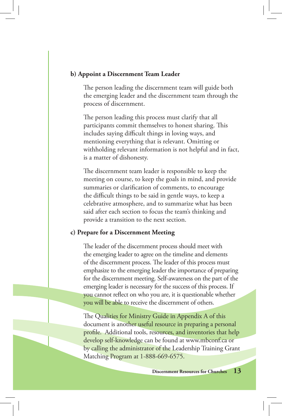#### **b) Appoint a Discernment Team Leader**

The person leading the discernment team will guide both the emerging leader and the discernment team through the process of discernment.

The person leading this process must clarify that all participants commit themselves to honest sharing. This includes saying difficult things in loving ways, and mentioning everything that is relevant. Omitting or withholding relevant information is not helpful and in fact, is a matter of dishonesty.

The discernment team leader is responsible to keep the meeting on course, to keep the goals in mind, and provide summaries or clarification of comments, to encourage the difficult things to be said in gentle ways, to keep a celebrative atmosphere, and to summarize what has been said after each section to focus the team's thinking and provide a transition to the next section.

#### **c) Prepare for a Discernment Meeting**

The leader of the discernment process should meet with the emerging leader to agree on the timeline and elements of the discernment process. The leader of this process must emphasize to the emerging leader the importance of preparing for the discernment meeting. Self-awareness on the part of the emerging leader is necessary for the success of this process. If you cannot reflect on who you are, it is questionable whether you will be able to receive the discernment of others.

The Qualities for Ministry Guide in Appendix A of this document is another useful resource in preparing a personal profile. Additional tools, resources, and inventories that help develop self-knowledge can be found at www.mbconf.ca or by calling the administrator of the Leadership Training Grant Matching Program at 1-888-669-6575.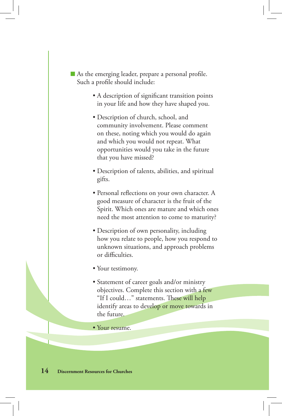- $\blacksquare$  As the emerging leader, prepare a personal profile. Such a profile should include:
	- A description of significant transition points in your life and how they have shaped you.
	- Description of church, school, and community involvement. Please comment on these, noting which you would do again and which you would not repeat. What opportunities would you take in the future that you have missed?
	- Description of talents, abilities, and spiritual gifts.
	- Personal reflections on your own character. A good measure of character is the fruit of the Spirit. Which ones are mature and which ones need the most attention to come to maturity?
	- Description of own personality, including how you relate to people, how you respond to unknown situations, and approach problems or difficulties.
	- Your testimony.
	- Statement of career goals and/or ministry objectives. Complete this section with a few "If I could..." statements. These will help identify areas to develop or move towards in the future.
	- Your resume.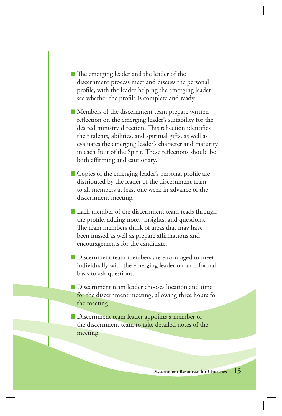- $\blacksquare$  The emerging leader and the leader of the discernment process meet and discuss the personal profile, with the leader helping the emerging leader see whether the profile is complete and ready.
- Members of the discernment team prepare written reflection on the emerging leader's suitability for the desired ministry direction. This reflection identifies their talents, abilities, and spiritual gifts, as well as evaluates the emerging leader's character and maturity in each fruit of the Spirit. These reflections should be both affirming and cautionary.
- $\blacksquare$  Copies of the emerging leader's personal profile are distributed by the leader of the discernment team to all members at least one week in advance of the discernment meeting.
- Each member of the discernment team reads through the profile, adding notes, insights, and questions. The team members think of areas that may have been missed as well as prepare affirmations and encouragements for the candidate.
- Discernment team members are encouraged to meet individually with the emerging leader on an informal basis to ask questions.
- Discernment team leader chooses location and time for the discernment meeting, allowing three hours for the meeting.
- Discernment team leader appoints a member of the discernment team to take detailed notes of the meeting.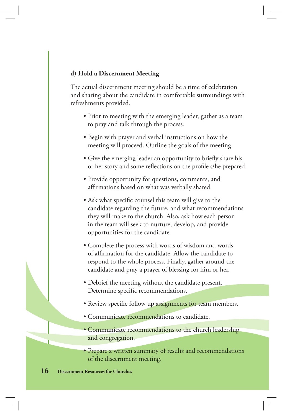#### **d) Hold a Discernment Meeting**

The actual discernment meeting should be a time of celebration and sharing about the candidate in comfortable surroundings with refreshments provided.

- Prior to meeting with the emerging leader, gather as a team to pray and talk through the process.
- Begin with prayer and verbal instructions on how the meeting will proceed. Outline the goals of the meeting.
- Give the emerging leader an opportunity to briefly share his or her story and some reflections on the profile s/he prepared.
- Provide opportunity for questions, comments, and affirmations based on what was verbally shared.
- Ask what specific counsel this team will give to the candidate regarding the future, and what recommendations they will make to the church. Also, ask how each person in the team will seek to nurture, develop, and provide opportunities for the candidate.
- Complete the process with words of wisdom and words of affirmation for the candidate. Allow the candidate to respond to the whole process. Finally, gather around the candidate and pray a prayer of blessing for him or her.
- Debrief the meeting without the candidate present. Determine specific recommendations.
- Review specific follow up assignments for team members.
- Communicate recommendations to candidate.
- Communicate recommendations to the church leadership and congregation.
- Prepare a written summary of results and recommendations of the discernment meeting.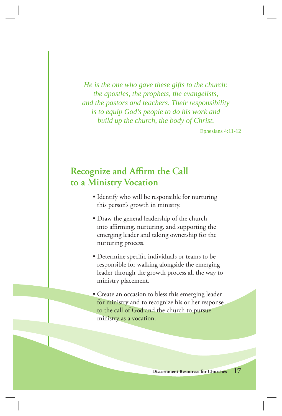*He is the one who gave these gifts to the church: the apostles, the prophets, the evangelists, and the pastors and teachers. Their responsibility is to equip God's people to do his work and build up the church, the body of Christ.* 

Ephesians 4:11-12

# **Recognize and Affirm the Call to a Ministry Vocation**

- Identify who will be responsible for nurturing this person's growth in ministry.
- Draw the general leadership of the church into affirming, nurturing, and supporting the emerging leader and taking ownership for the nurturing process.
- Determine specific individuals or teams to be responsible for walking alongside the emerging leader through the growth process all the way to ministry placement.
- Create an occasion to bless this emerging leader for ministry and to recognize his or her response to the call of God and the church to pursue ministry as a vocation.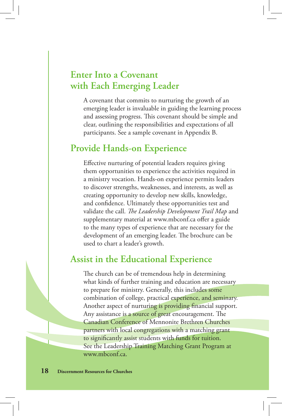# **Enter Into a Covenant with Each Emerging Leader**

A covenant that commits to nurturing the growth of an emerging leader is invaluable in guiding the learning process and assessing progress. This covenant should be simple and clear, outlining the responsibilities and expectations of all participants. See a sample covenant in Appendix B.

## **Provide Hands-on Experience**

Effective nurturing of potential leaders requires giving them opportunities to experience the activities required in a ministry vocation. Hands-on experience permits leaders to discover strengths, weaknesses, and interests, as well as creating opportunity to develop new skills, knowledge, and confidence. Ultimately these opportunities test and validate the call. *The Leadership Development Trail Map* and supplementary material at www.mbconf.ca offer a guide to the many types of experience that are necessary for the development of an emerging leader. The brochure can be used to chart a leader's growth.

# **Assist in the Educational Experience**

The church can be of tremendous help in determining what kinds of further training and education are necessary to prepare for ministry. Generally, this includes some combination of college, practical experience, and seminary. Another aspect of nurturing is providing financial support. Any assistance is a source of great encouragement. The Canadian Conference of Mennonite Brethren Churches partners with local congregations with a matching grant to significantly assist students with funds for tuition. See the Leadership Training Matching Grant Program at www.mbconf.ca.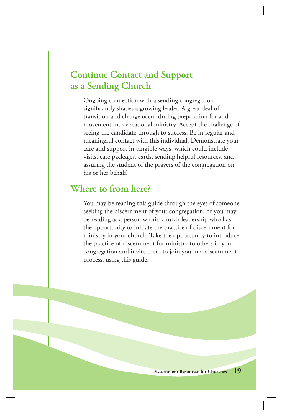# **Continue Contact and Support as a Sending Church**

Ongoing connection with a sending congregation significantly shapes a growing leader. A great deal of transition and change occur during preparation for and movement into vocational ministry. Accept the challenge of seeing the candidate through to success. Be in regular and meaningful contact with this individual. Demonstrate your care and support in tangible ways, which could include visits, care packages, cards, sending helpful resources, and assuring the student of the prayers of the congregation on his or her behalf.

### **Where to from here?**

You may be reading this guide through the eyes of someone seeking the discernment of your congregation, or you may be reading as a person within church leadership who has the opportunity to initiate the practice of discernment for ministry in your church. Take the opportunity to introduce the practice of discernment for ministry to others in your congregation and invite them to join you in a discernment process, using this guide.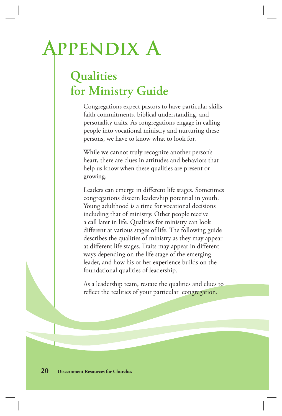# **Appendix A**

# **Qualities for Ministry Guide**

Congregations expect pastors to have particular skills, faith commitments, biblical understanding, and personality traits. As congregations engage in calling people into vocational ministry and nurturing these persons, we have to know what to look for.

While we cannot truly recognize another person's heart, there are clues in attitudes and behaviors that help us know when these qualities are present or growing.

Leaders can emerge in different life stages. Sometimes congregations discern leadership potential in youth. Young adulthood is a time for vocational decisions including that of ministry. Other people receive a call later in life. Qualities for ministry can look different at various stages of life. The following guide describes the qualities of ministry as they may appear at different life stages. Traits may appear in different ways depending on the life stage of the emerging leader, and how his or her experience builds on the foundational qualities of leadership.

As a leadership team, restate the qualities and clues to reflect the realities of your particular congregation.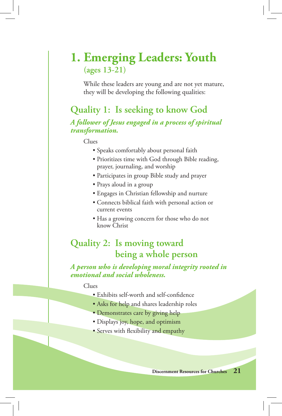# **1. Emerging Leaders: Youth (ages 13-21)**

While these leaders are young and are not yet mature, they will be developing the following qualities:

# **Quality 1: Is seeking to know God**

*A follower of Jesus engaged in a process of spiritual transformation.*

Clues

- Speaks comfortably about personal faith
- Prioritizes time with God through Bible reading, prayer, journaling, and worship
- Participates in group Bible study and prayer
- Prays aloud in a group
- Engages in Christian fellowship and nurture
- Connects biblical faith with personal action or current events
- Has a growing concern for those who do not know Christ

# **Quality 2: Is moving toward being a whole person**

*A person who is developing moral integrity rooted in emotional and social wholeness.*

#### Clues

- Exhibits self-worth and self-confidence
- Asks for help and shares leadership roles
- Demonstrates care by giving help
- Displays joy, hope, and optimism
- Serves with flexibility and empathy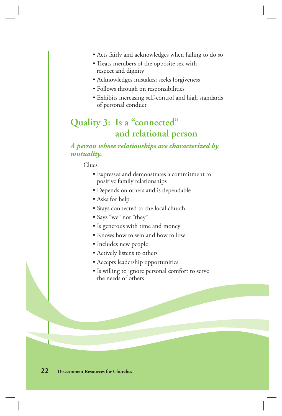- Acts fairly and acknowledges when failing to do so
- Treats members of the opposite sex with respect and dignity
- Acknowledges mistakes; seeks forgiveness
- Follows through on responsibilities
- Exhibits increasing self-control and high standards of personal conduct

# **Quality 3: Is a "connected" and relational person**

#### *A person whose relationships are characterized by mutuality.*

Clues

- Expresses and demonstrates a commitment to positive family relationships
- Depends on others and is dependable
- Asks for help
- Stays connected to the local church
- Says "we" not "they"
- Is generous with time and money
- Knows how to win and how to lose
- Includes new people
- Actively listens to others
- Accepts leadership opportunities
- Is willing to ignore personal comfort to serve the needs of others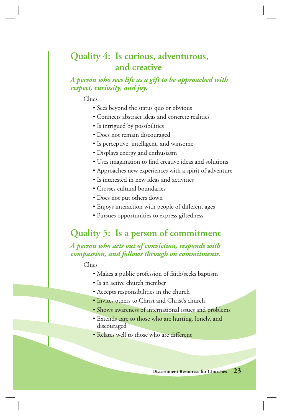# **Quality 4: Is curious, adventurous, and creative**

#### *A person who sees life as a gift to be approached with respect, curiosity, and joy.*

#### Clues

- Sees beyond the status quo or obvious
- Connects abstract ideas and concrete realities
- Is intrigued by possibilities
- Does not remain discouraged
- Is perceptive, intelligent, and winsome
- Displays energy and enthusiasm
- Uses imagination to find creative ideas and solutions
- Approaches new experiences with a spirit of adventure
- Is interested in new ideas and activities
- Crosses cultural boundaries
- Does not put others down
- Enjoys interaction with people of different ages
- Pursues opportunities to express giftedness

## **Quality 5: Is a person of commitment**

*A person who acts out of conviction, responds with compassion, and follows through on commitments.*

Clues

- Makes a public profession of faith/seeks baptism
- Is an active church member
- Accepts responsibilities in the church
- Invites others to Christ and Christ's church
- Shows awareness of international issues and problems
- Extends care to those who are hurting, lonely, and discouraged
- Relates well to those who are different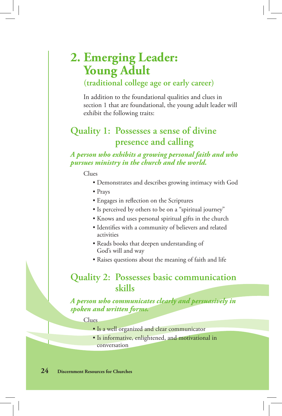# **2. Emerging Leader: Young Adult**

### **(traditional college age or early career)**

In addition to the foundational qualities and clues in section 1 that are foundational, the young adult leader will exhibit the following traits:

# **Quality 1: Possesses a sense of divine presence and calling**

#### *A person who exhibits a growing personal faith and who pursues ministry in the church and the world.*

#### Clues

- Demonstrates and describes growing intimacy with God
- Prays
- Engages in reflection on the Scriptures
- Is perceived by others to be on a "spiritual journey"
- Knows and uses personal spiritual gifts in the church
- Identifies with a community of believers and related activities
- Reads books that deepen understanding of God's will and way
- Raises questions about the meaning of faith and life

### **Quality 2: Possesses basic communication skills**

#### *A person who communicates clearly and persuasively in spoken and written forms.*

Clues

- Is a well organized and clear communicator
- Is informative, enlightened, and motivational in conversation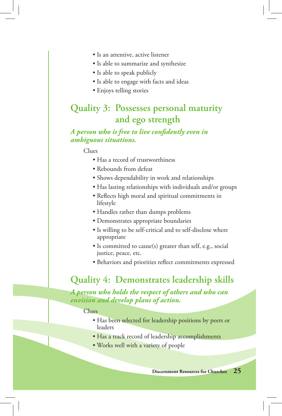- Is an attentive, active listener
- Is able to summarize and synthesize
- Is able to speak publicly
- Is able to engage with facts and ideas
- Enjoys telling stories

# **Quality 3: Possesses personal maturity and ego strength**

#### *A person who is free to live confi dently even in ambiguous situations.*

Clues

- Has a record of trustworthiness
- Rebounds from defeat
- Shows dependability in work and relationships
- Has lasting relationships with individuals and/or groups
- Reflects high moral and spiritual commitments in lifestyle
- Handles rather than dumps problems
- Demonstrates appropriate boundaries
- Is willing to be self-critical and to self-disclose where appropriate
- Is committed to cause(s) greater than self, e.g., social justice, peace, etc.
- Behaviors and priorities reflect commitments expressed

## **Quality 4: Demonstrates leadership skills**

*A person who holds the respect of others and who can envision and develop plans of action.*

#### Clues

- Has been selected for leadership positions by peers or leaders
- Has a track record of leadership accomplishments
- Works well with a variety of people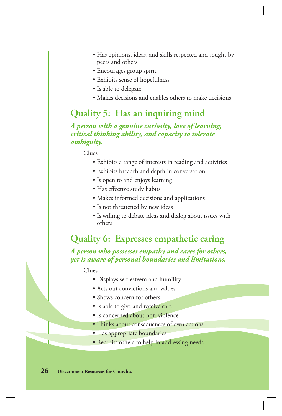- Has opinions, ideas, and skills respected and sought by peers and others
- Encourages group spirit
- Exhibits sense of hopefulness
- Is able to delegate
- Makes decisions and enables others to make decisions

### **Quality 5: Has an inquiring mind**

*A person with a genuine curiosity, love of learning, critical thinking ability, and capacity to tolerate ambiguity.*

Clues

- Exhibits a range of interests in reading and activities
- Exhibits breadth and depth in conversation
- Is open to and enjoys learning
- Has effective study habits
- Makes informed decisions and applications
- Is not threatened by new ideas
- Is willing to debate ideas and dialog about issues with others

# **Quality 6: Expresses empathetic caring**

*A person who possesses empathy and cares for others, yet is aware of personal boundaries and limitations.*

Clues

- Displays self-esteem and humility
- Acts out convictions and values
- Shows concern for others
- Is able to give and receive care
- Is concerned about non-violence
- Thinks about consequences of own actions
- Has appropriate boundaries
- Recruits others to help in addressing needs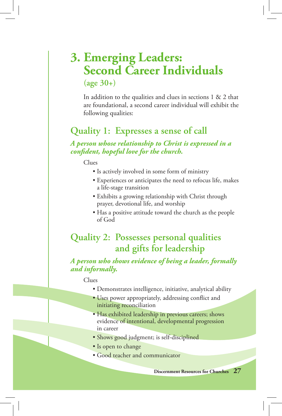# **3. Emerging Leaders: Second Career Individuals (age 30+)**

In addition to the qualities and clues in sections 1 & 2 that are foundational, a second career individual will exhibit the following qualities:

# **Quality 1: Expresses a sense of call**

*A person whose relationship to Christ is expressed in a confi dent, hopeful love for the church.*

Clues

- Is actively involved in some form of ministry
- Experiences or anticipates the need to refocus life, makes a life-stage transition
- Exhibits a growing relationship with Christ through prayer, devotional life, and worship
- Has a positive attitude toward the church as the people of God

# **Quality 2: Possesses personal qualities and gifts for leadership**

#### *A person who shows evidence of being a leader, formally and informally.*

#### Clues

- Demonstrates intelligence, initiative, analytical ability
- Uses power appropriately, addressing conflict and initiating reconciliation
- Has exhibited leadership in previous careers; shows evidence of intentional, developmental progression in career
- Shows good judgment; is self-disciplined
- Is open to change
- Good teacher and communicator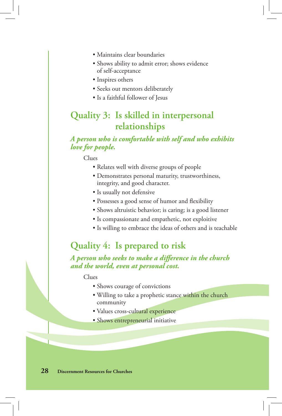- Maintains clear boundaries
- Shows ability to admit error; shows evidence of self-acceptance
- Inspires others
- Seeks out mentors deliberately
- Is a faithful follower of Jesus

# **Quality 3: Is skilled in interpersonal relationships**

#### *A person who is comfortable with self and who exhibits love for people.*

Clues

- Relates well with diverse groups of people
- Demonstrates personal maturity, trustworthiness, integrity, and good character.
- Is usually not defensive
- Possesses a good sense of humor and flexibility
- Shows altruistic behavior; is caring; is a good listener
- Is compassionate and empathetic, not exploitive
- Is willing to embrace the ideas of others and is teachable

# **Quality 4: Is prepared to risk**

A person who seeks to make a difference in the church *and the world, even at personal cost.*

Clues

- Shows courage of convictions
- Willing to take a prophetic stance within the church community
- Values cross-cultural experience
- Shows entrepreneurial initiative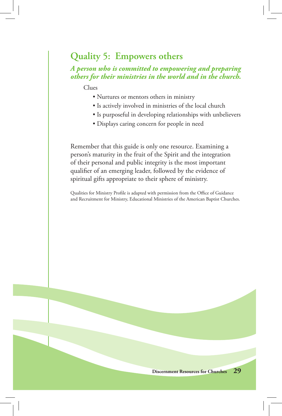# **Quality 5: Empowers others**

#### *A person who is committed to empowering and preparing others for their ministries in the world and in the church.*

Clues

- Nurtures or mentors others in ministry
- Is actively involved in ministries of the local church
- Is purposeful in developing relationships with unbelievers
- Displays caring concern for people in need

Remember that this guide is only one resource. Examining a person's maturity in the fruit of the Spirit and the integration of their personal and public integrity is the most important qualifier of an emerging leader, followed by the evidence of spiritual gifts appropriate to their sphere of ministry.

Qualities for Ministry Profile is adapted with permission from the Office of Guidance and Recruitment for Ministry, Educational Ministries of the American Baptist Churches.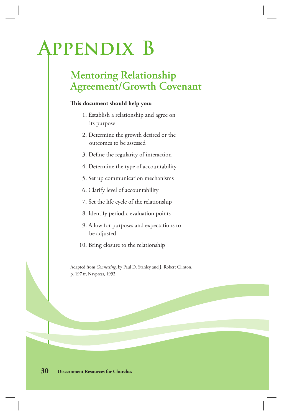# **Appendix B**

# **Mentoring Relationship Agreement/Growth Covenant**

#### **is document should help you:**

- 1. Establish a relationship and agree on its purpose
- 2. Determine the growth desired or the outcomes to be assessed
- 3. Define the regularity of interaction
- 4. Determine the type of accountability
- 5. Set up communication mechanisms
- 6. Clarify level of accountability
- 7. Set the life cycle of the relationship
- 8. Identify periodic evaluation points
- 9. Allow for purposes and expectations to be adjusted
- 10. Bring closure to the relationship

Adapted from *Connecting*, by Paul D. Stanley and J. Robert Clinton, p. 197 ff, Navpress, 1992.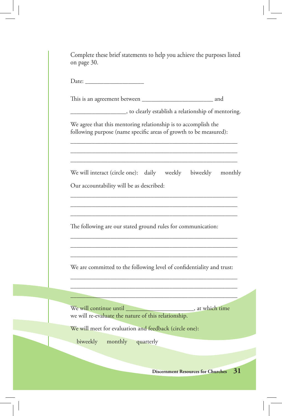| ____________________, to clearly establish a relationship of mentoring.                                                             |  |  |
|-------------------------------------------------------------------------------------------------------------------------------------|--|--|
| We agree that this mentoring relationship is to accomplish the<br>following purpose (name specific areas of growth to be measured): |  |  |
| We will interact (circle one): daily weekly biweekly monthly<br>Our accountability will be as described:                            |  |  |
| The following are our stated ground rules for communication:                                                                        |  |  |
| We are committed to the following level of confidentiality and trust:                                                               |  |  |
| we will re-evaluate the nature of this relationship.                                                                                |  |  |
| We will meet for evaluation and feedback (circle one):                                                                              |  |  |
|                                                                                                                                     |  |  |

I

 $\overline{\phantom{a}}$ 

 $\frac{1}{2}$